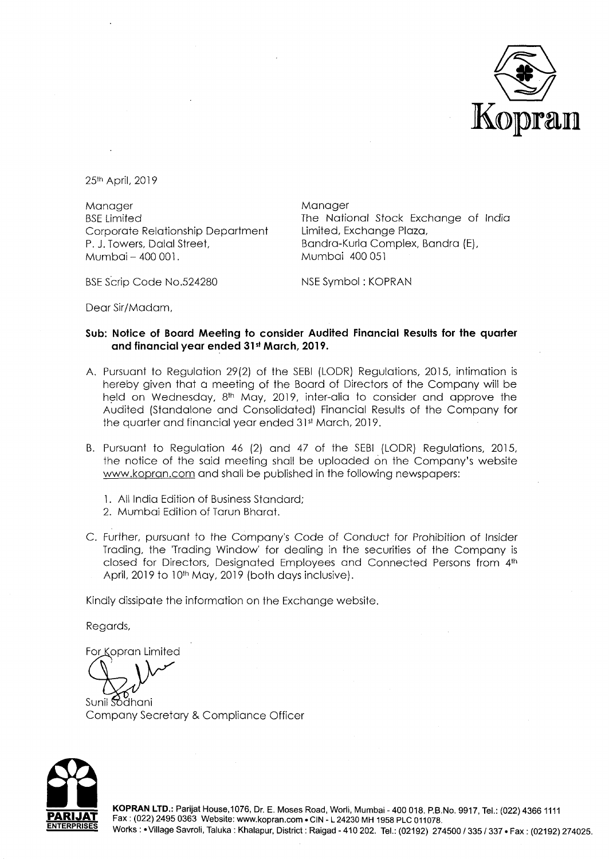

25th April, 2019

Manager BSE Limited Corporate Relationship Department P. J. Towers, Dalal Street. Mumbai- 400 001.

Manager The National Stock Exchange of India Limited, Exchange Plaza, Bandra-Kurla Complex, Bandra (E), Mumbai 400 051

BSE Scrip Code No.524280

NSE Symbol : KOPRAN

Dear Sir/Madam,

## **Sub: Notice of Board Meeting to consider Audited Financial Results for the quarter**  and financial year ended 31st March, 2019.

- A. Pursuant to Regulation 29(2) of the SEBI (LODR) Regulations, 2015, intimation is hereby given that a meeting of the Board of Directors of the Company will be held on Wednesday, 8<sup>th</sup> May, 2019, inter-alia to consider and approve the Audited (Standalone and Consolidated) Financial Results of the Company for the quarter and financial year ended 3ist March, 2019.
- B. Pursuant to Regulation 46 (2) and 47 of the SEBI (LODR) Regulations, 2015, the notice of the said meeting shall be uploaded on the Company's website www.kopran.com and shall be published in the following newspapers:
	- l. All India Edition of Business Standard;
	- 2. Mumbai Edition of Tarun Bharat.
- C. Further, pursuant to the Company's Code of Conduct for Prohibition of Insider Trading, the 'Trading Window' for dealing in the securities of the Company is closed for Directors, Designated Employees and Connected Persons from 4th April, 2019 to 10<sup>th</sup> May, 2019 (both days inclusive).

Kindly dissipate the information on the Exchange website.

Regards,

For Kopran Limited

Sunil Sodhani Company Secretary & Compliance Officer



**KOPRAN LTD.:** Parijat House,1076, Dr. E. Moses Road, Worli, Mumbai-400 018. P.B.No. 9917, Tel.: (022) 43661111 Fax: (022) 2495 0363 Website: www.kopran.com • CIN - L 24230 MH 1958 PLC 011078. Works : •Village Savroli, Taluka : Khalapur, District : Raigad - 410 202. Tel.: (02192) 274500 I 335 I 337 •Fax : (02192) 274025.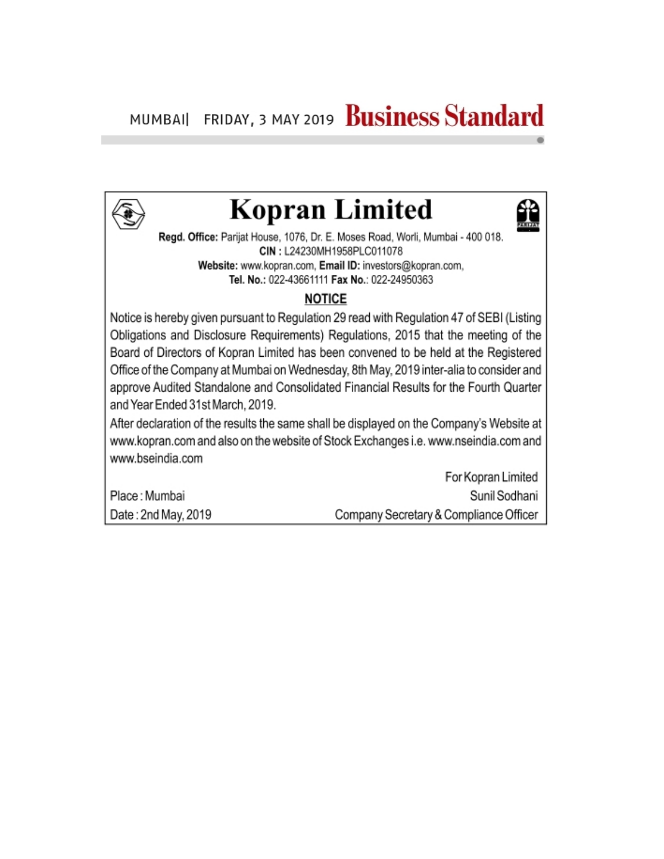

## **Kopran Limited**

Regd. Office: Parijat House, 1076, Dr. E. Moses Road, Worli, Mumbai - 400 018. CIN: L24230MH1958PLC011078 Website: www.kopran.com, Email ID: investors@kopran.com, Tel. No.: 022-43661111 Fax No.: 022-24950363

## **NOTICE**

Notice is hereby given pursuant to Regulation 29 read with Regulation 47 of SEBI (Listing Obligations and Disclosure Requirements) Regulations, 2015 that the meeting of the Board of Directors of Kopran Limited has been convened to be held at the Registered Office of the Company at Mumbai on Wednesday, 8th May, 2019 inter-alia to consider and approve Audited Standalone and Consolidated Financial Results for the Fourth Quarter and Year Ended 31st March, 2019.

After declaration of the results the same shall be displayed on the Company's Website at www.kopran.com and also on the website of Stock Exchanges i.e. www.nseindia.com and www.bseindia.com

Place: Mumbai Date: 2nd May, 2019

For Kopran Limited Sunil Sodhani Company Secretary & Compliance Officer